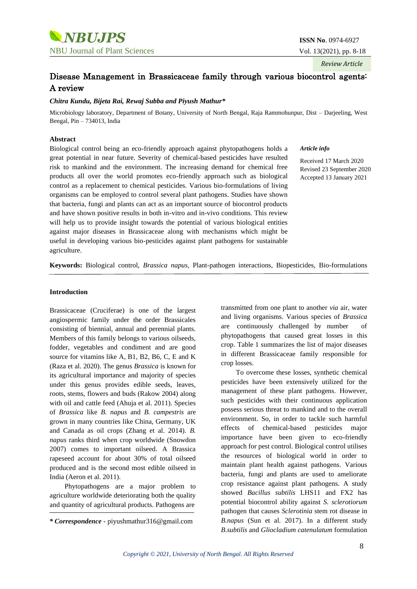*Review Article*

# Disease Management in Brassicaceae family through various biocontrol agents: A review

# *Chitra Kundu, Bijeta Rai, Rewaj Subba and Piyush Mathur\**

Microbiology laboratory, Department of Botany, University of North Bengal, Raja Rammohunpur, Dist – Darjeeling, West Bengal, Pin – 734013, India

## **Abstract**

Biological control being an eco-friendly approach against phytopathogens holds a great potential in near future. Severity of chemical-based pesticides have resulted risk to mankind and the environment. The increasing demand for chemical free products all over the world promotes eco-friendly approach such as biological control as a replacement to chemical pesticides. Various bio-formulations of living organisms can be employed to control several plant pathogens. Studies have shown that bacteria, fungi and plants can act as an important source of biocontrol products and have shown positive results in both in-vitro and in-vivo conditions. This review will help us to provide insight towards the potential of various biological entities against major diseases in Brassicaceae along with mechanisms which might be useful in developing various bio-pesticides against plant pathogens for sustainable agriculture.

*Article info*

Received 17 March 2020 Revised 23 September 2020 Accepted 13 January 2021

**Keywords:** Biological control, *Brassica napus*, Plant-pathogen interactions, Biopesticides, Bio-formulations

# **Introduction**

Brassicaceae (Cruciferae) is one of the largest angiospermic family under the order Brassicales consisting of biennial, annual and perennial plants. Members of this family belongs to various oilseeds, fodder, vegetables and condiment and are good source for vitamins like A, B1, B2, B6, C, E and K (Raza et al. 2020). The genus *Brassica* is known for its agricultural importance and majority of species under this genus provides edible seeds, leaves, roots, stems, flowers and buds (Rakow 2004) along with oil and cattle feed (Ahuja et al. 2011). Species of *Brassica* like *B. napus* and *B. campestris* are grown in many countries like China, Germany, UK and Canada as oil crops (Zhang et al. 2014). *B. napus* ranks third when crop worldwide (Snowdon 2007) comes to important oilseed. A Brassica rapeseed account for about 30% of total oilseed produced and is the second most edible oilseed in India (Aeron et al. 2011).

Phytopathogens are a major problem to agriculture worldwide deteriorating both the quality and quantity of agricultural products. Pathogens are

transmitted from one plant to another *via* air, water and living organisms. Various species of *Brassica* are continuously challenged by number of phytopathogens that caused great losses in this crop. Table 1 summarizes the list of major diseases in different Brassicaceae family responsible for crop losses.

To overcome these losses, synthetic chemical pesticides have been extensively utilized for the management of these plant pathogens. However, such pesticides with their continuous application possess serious threat to mankind and to the overall environment. So, in order to tackle such harmful effects of chemical-based pesticides major importance have been given to eco-friendly approach for pest control. Biological control utilises the resources of biological world in order to maintain plant health against pathogens. Various bacteria, fungi and plants are used to ameliorate crop resistance against plant pathogens. A study showed *Bacillus subtilis* LHS11 and FX2 has potential biocontrol ability against *S. sclerotiorum*  pathogen that causes *Sclerotinia* stem rot disease in *B.napus* (Sun et al. 2017). In a different study *B.subtilis* and *Gliocladium catenulatum* formulation

*<sup>\*</sup> Correspondence -* piyushmathur316@gmail.com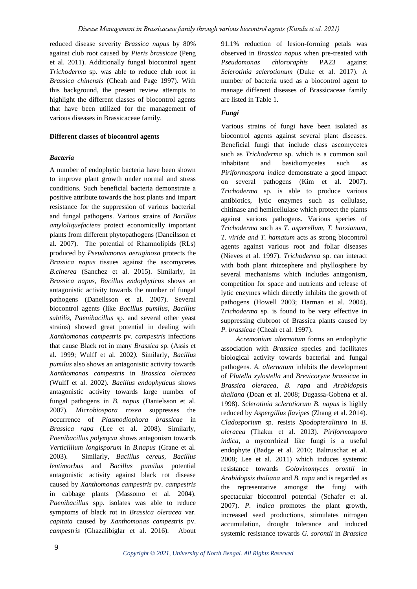reduced disease severity *Brassica napus* by 80% against club root caused by *Pieris brassicae* (Peng et al. 2011). Additionally fungal biocontrol agent *Trichoderma* sp. was able to reduce club root in *Brassica chinensis* (Cheah and Page 1997). With this background, the present review attempts to highlight the different classes of biocontrol agents that have been utilized for the management of various diseases in Brassicaceae family.

# **Different classes of biocontrol agents**

# *Bacteria*

A number of endophytic bacteria have been shown to improve plant growth under normal and stress conditions. Such beneficial bacteria demonstrate a positive attribute towards the host plants and impart resistance for the suppression of various bacterial and fungal pathogens. Various strains of *Bacillus amyloliquefaciens* protect economically important plants from different phytopathogens (Daneilsson et al. 2007). The potential of Rhamnolipids (RLs) produced by *Pseudomonas aeruginosa* protects the *Brassica napus* tissues against the ascomycetes *B.cinerea* (Sanchez et al. 2015). Similarly, In *Brassica napus, Bacillus endophyticus* shows an antagonistic activity towards the number of fungal pathogens (Daneilsson et al. 2007). Several biocontrol agents (like *Bacillus pumilus, Bacillus subtilis, Paenibacillus* sp. and several other yeast strains) showed great potential in dealing with *Xanthomonas campestris* pv. *campestris* infections that cause Black rot in many *Brassica* sp. (Assis et al. 1999; Wulff et al. 2002*).* Similarly, *Bacillus pumilus* also shows an antagonistic activity towards *Xanthomonas campestris* in *Brassica oleracea* (Wulff et al. 2002). *Bacillus endophyticus* shows antagonistic activity towards large number of fungal pathogens in *B. napus* (Danielsson et al. 2007). *Microbiospora rosea* suppresses the occurrence of *Plasmodiophora brassicae* in *Brassica rapa* (Lee et al. 2008). Similarly, *Paenibacillus polymyxa* shows antagonism towards *Verticillium longisporum* in *B.napus* (Grane et al. 2003). Similarly, *Bacillus cereus*, *Bacillus lentimorbus* and *Bacillus pumilus* potential antagonistic activity against black rot disease caused by *Xanthomonas campestris* pv. *campestris* in cabbage plants (Massomo et al. 2004). *Paenibacillus* spp. isolates was able to reduce symptoms of black rot in *Brassica oleracea* var. *capitata* caused by *Xanthomonas campestris* pv. *campestris* (Ghazalibiglar et al. 2016). About 91.1% reduction of lesion-forming petals was observed in *Brassica napus* when pre-treated with *Pseudomonas chlororaphis* PA23 against *Sclerotinia sclerotionum* (Duke et al. 2017). A number of bacteria used as a biocontrol agent to manage different diseases of Brassicaceae family are listed in Table 1.

# *Fungi*

Various strains of fungi have been isolated as biocontrol agents against several plant diseases. Beneficial fungi that include class ascomycetes such as *Trichoderma* sp. which is a common soil inhabitant and basidiomycetes such as *Piriformospora indica* demonstrate a good impact on several pathogens (Kim et al. 2007). *Trichoderma* sp. is able to produce various antibiotics, lytic enzymes such as cellulase, chitinase and hemicellulase which protect the plants against various pathogens. Various species of *Trichoderma* such as *T. asperellum, T. harzianum, T. viride and T. hamatum* acts as strong biocontrol agents against various root and foliar diseases (Nieves et al. 1997). *Trichoderma* sp. can interact with both plant rhizosphere and phyllosphere by several mechanisms which includes antagonism, competition for space and nutrients and release of lytic enzymes which directly inhibits the growth of pathogens (Howell 2003; Harman et al. 2004). *Trichoderma* sp. is found to be very effective in suppressing clubroot of Brassica plants caused by *P. brassicae* (Cheah et al. 1997).

*Acremonium alternatum* forms an endophytic association with *Brassica* species and facilitates biological activity towards bacterial and fungal pathogens. *A. alternatum* inhibits the development of *Plutella xylostella* and *Brevicoryne brassicae* in *Brassica oleracea*, *B. rapa* and *Arabidopsis thaliana* (Doan et al. 2008; Dugassa-Gobena et al. 1998). *Sclerotinia sclerotiorum B*. *napus* is highly reduced by *Aspergillus flavipes* (Zhang et al. 2014). *Cladosporium* sp. resists *Spodopteralitura* in *B*. *oleracea* (Thakur et al. 2013). *Piriformospora indica*, a mycorrhizal like fungi is a useful endophyte (Badge et al. 2010; Baltruschat et al. 2008; Lee et al. 2011) which induces systemic resistance towards *Golovinomyces orontii* in *Arabidopsis thaliana* and *B. rapa* and is regarded as the representative amongst the fungi with spectacular biocontrol potential (Schafer et al. 2007). *P. indica* promotes the plant growth, increased seed productions, stimulates nitrogen accumulation, drought tolerance and induced systemic resistance towards *G. sorontii* in *Brassica*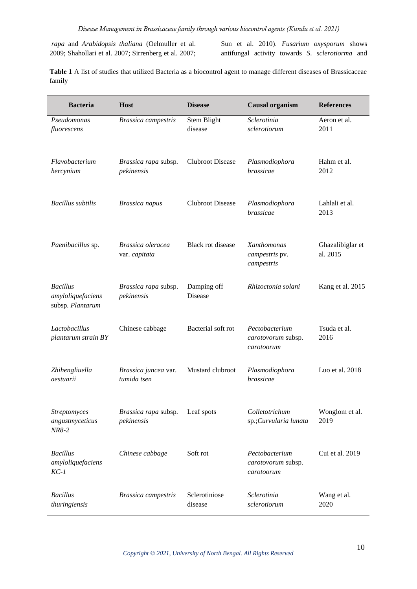*rapa* and *Arabidopsis thaliana* (Oelmuller et al. 2009; Shahollari et al. 2007; Sirrenberg et al. 2007; Sun et al. 2010). *Fusarium oxysporum* shows antifungal activity towards *S*. *sclerotiorma* and

**Table 1** A list of studies that utilized Bacteria as a biocontrol agent to manage different diseases of Brassicaceae family

| <b>Bacteria</b>                                          | <b>Host</b>                         | <b>Disease</b>                | <b>Causal organism</b>                             | <b>References</b>            |
|----------------------------------------------------------|-------------------------------------|-------------------------------|----------------------------------------------------|------------------------------|
| Pseudomonas<br>fluorescens                               | Brassica campestris                 | <b>Stem Blight</b><br>disease | Sclerotinia<br>sclerotiorum                        | Aeron et al.<br>2011         |
| Flavobacterium<br>hercynium                              | Brassica rapa subsp.<br>pekinensis  | <b>Clubroot Disease</b>       | Plasmodiophora<br>brassicae                        | Hahm et al.<br>2012          |
| <b>Bacillus</b> subtilis                                 | <b>Brassica</b> napus               | <b>Clubroot Disease</b>       | Plasmodiophora<br>brassicae                        | Lahlali et al.<br>2013       |
| Paenibacillus sp.                                        | Brassica oleracea<br>var. capitata  | Black rot disease             | Xanthomonas<br>campestris pv.<br>campestris        | Ghazalibiglar et<br>al. 2015 |
| <b>Bacillus</b><br>amyloliquefaciens<br>subsp. Plantarum | Brassica rapa subsp.<br>pekinensis  | Damping off<br><b>Disease</b> | Rhizoctonia solani                                 | Kang et al. 2015             |
| Lactobacillus<br>plantarum strain BY                     | Chinese cabbage                     | Bacterial soft rot            | Pectobacterium<br>carotovorum subsp.<br>carotoorum | Tsuda et al.<br>2016         |
| Zhihengliuella<br>aestuarii                              | Brassica juncea var.<br>tumida tsen | Mustard clubroot              | Plasmodiophora<br>brassicae                        | Luo et al. $2018$            |
| Streptomyces<br>angustmyceticus<br>NR8-2                 | Brassica rapa subsp.<br>pekinensis  | Leaf spots                    | Colletotrichum<br>sp.;Curvularia lunata            | Wonglom et al.<br>2019       |
| <b>Bacillus</b><br>amyloliquefaciens<br>$KC-1$           | Chinese cabbage                     | Soft rot                      | Pectobacterium<br>carotovorum subsp.<br>carotoorum | Cui et al. 2019              |
| <b>Bacillus</b><br>thuringiensis                         | Brassica campestris                 | Sclerotiniose<br>disease      | Sclerotinia<br>sclerotiorum                        | Wang et al.<br>2020          |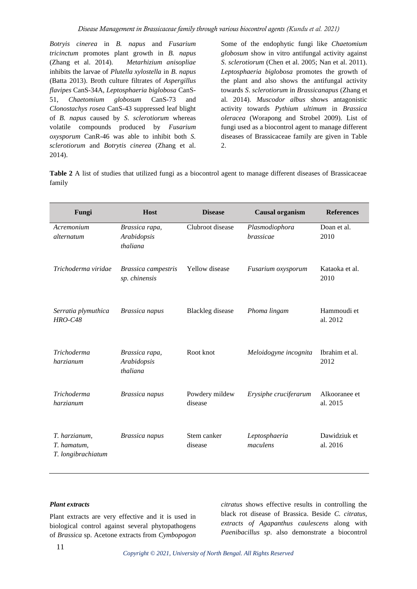*Botryis cinerea* in *B. napus* and *Fusarium tricinctum* promotes plant growth in *B. napus* (Zhang et al. 2014). *Metarhizium anisopliae*  inhibits the larvae of *Plutella xylostella* in *B. napus* (Batta 2013). Broth culture filtrates of *Aspergillus flavipes* CanS-34A, *Leptosphaeria biglobosa* CanS-51, *Chaetomium globosum* CanS-73 and *Clonostachys rosea* CanS-43 suppressed leaf blight of *B. napus* caused by *S*. *sclerotiorum* whereas volatile compounds produced by *Fusarium oxysporum* CanR-46 was able to inhibit both *S. sclerotiorum* and *Botrytis cinerea* (Zhang et al. 2014).

Some of the endophytic fungi like *Chaetomium globosum* show in vitro antifungal activity against *S*. *sclerotiorum* (Chen et al. 2005; Nan et al. 2011). *Leptosphaeria biglobosa* promotes the growth of the plant and also shows the antifungal activity towards *S*. *sclerotiorum* in *Brassicanapus* (Zhang et al. 2014). *Muscodor albus* shows antagonistic activity towards *Pythium ultimum* in *Brassica oleracea* (Worapong and Strobel 2009). List of fungi used as a biocontrol agent to manage different diseases of Brassicaceae family are given in Table 2.

**Table 2** A list of studies that utilized fungi as a biocontrol agent to manage different diseases of Brassicaceae family

| Fungi                                              | <b>Host</b>                               | <b>Disease</b>            | <b>Causal organism</b>      | <b>References</b>         |
|----------------------------------------------------|-------------------------------------------|---------------------------|-----------------------------|---------------------------|
| Acremonium<br>alternatum                           | Brassica rapa,<br>Arabidopsis<br>thaliana | Clubroot disease          | Plasmodiophora<br>brassicae | Doan et al.<br>2010       |
| Trichoderma viridae                                | Brassica campestris<br>sp. chinensis      | <b>Yellow</b> disease     | Fusarium oxysporum          | Kataoka et al.<br>2010    |
| Serratia plymuthica<br><b>HRO-C48</b>              | <b>Brassica</b> napus                     | <b>Blackleg</b> disease   | Phoma lingam                | Hammoudi et<br>al. 2012   |
| Trichoderma<br>harzianum                           | Brassica rapa,<br>Arabidopsis<br>thaliana | Root knot                 | Meloidogyne incognita       | Ibrahim et al.<br>2012    |
| <b>Trichoderma</b><br>harzianum                    | <b>Brassica</b> napus                     | Powdery mildew<br>disease | Erysiphe cruciferarum       | Alkooranee et<br>al. 2015 |
| T. harzianum,<br>T. hamatum,<br>T. longibrachiatum | <b>Brassica</b> napus                     | Stem canker<br>disease    | Leptosphaeria<br>maculens   | Dawidziuk et<br>al. 2016  |

### *Plant extracts*

Plant extracts are very effective and it is used in biological control against several phytopathogens of *Brassica* sp. Acetone extracts from *Cymbopogon*  *citratus* shows effective results in controlling the black rot disease of Brassica. Beside *C. citratus, extracts of Agapanthus caulescens* along with *Paenibacillus sp*. also demonstrate a biocontrol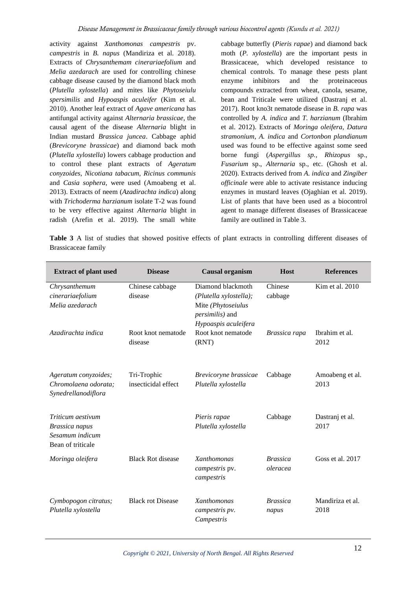activity against *Xanthomonas campestris* pv. *campestris* in *B. napus* (Mandiriza et al. 2018). Extracts of *Chrysanthemam cinerariaefolium* and *Melia azedarach* are used for controlling chinese cabbage disease caused by the diamond black moth (*Plutella xylostella*) and mites like *Phytoseiulu spersimilis* and *Hypoaspis aculeifer* (Kim et al. 2010). Another leaf extract of *Agave americana* has antifungal activity against *Alternaria brassicae*, the causal agent of the disease *Alternaria* blight in Indian mustard *Brassica juncea*. Cabbage aphid (*Brevicoryne brassicae*) and diamond back moth (*Plutella xylostella*) lowers cabbage production and to control these plant extracts of *Ageratum conyzoides*, *Nicotiana tabacum, Ricinus communis* and *Casia sophera,* were used (Amoabeng et al. 2013). Extracts of neem (*Azadirachta indica*) along with *Trichoderma harzianum* isolate T-2 was found to be very effective against *Alternaria* blight in radish (Arefin et al. 2019). The small white

cabbage butterfly (*Pieris rapae*) and diamond back moth (*P. xylostella*) are the important pests in Brassicaceae, which developed resistance to chemical controls. To manage these pests plant enzyme inhibitors and the proteinaceous compounds extracted from wheat, canola, sesame, bean and Triticale were utilized (Dastranj et al. 2017). Root kno3t nematode disease in *B. rapa* was controlled by *A. indica* and *T. harzianum* (Ibrahim et al. 2012). Extracts of *Moringa oleifera*, *Datura stramonium*, *A. indica* and *Cortonbon plandianum* used was found to be effective against some seed borne fungi (*Aspergillus sp., Rhizopus* sp., *Fusarium* sp., *Alternaria* sp., etc. (Ghosh et al. 2020). Extracts derived from *A. indica* and *Zingiber officinale* were able to activate resistance inducing enzymes in mustard leaves (Ojaghian et al. 2019). List of plants that have been used as a biocontrol agent to manage different diseases of Brassicaceae family are outlined in Table 3.

**Table 3** A list of studies that showed positive effects of plant extracts in controlling different diseases of Brassicaceae family

| <b>Extract of plant used</b>                                                | <b>Disease</b>                     | <b>Causal organism</b>                                                                                               | <b>Host</b>                 | <b>References</b>        |
|-----------------------------------------------------------------------------|------------------------------------|----------------------------------------------------------------------------------------------------------------------|-----------------------------|--------------------------|
| Chrysanthemum<br>cinerariaefolium<br>Melia azedarach                        | Chinese cabbage<br>disease         | Diamond blackmoth<br>(Plutella xylostella);<br>Mite (Phytoseiulus<br><i>persimilis</i> ) and<br>Hypoaspis aculeifera | Chinese<br>cabbage          | Kim et al. 2010          |
| Azadirachta indica                                                          | Root knot nematode<br>disease      | Root knot nematode<br>(RNT)                                                                                          | Brassica rapa               | Ibrahim et al.<br>2012   |
| Ageratum conyzoides;<br>Chromolaena odorata;<br>Synedrellanodiflora         | Tri-Trophic<br>insecticidal effect | Brevicoryne brassicae<br>Plutella xylostella                                                                         | Cabbage                     | Amoabeng et al.<br>2013  |
| Triticum aestivum<br>Brassica napus<br>Sesamum indicum<br>Bean of triticale |                                    | Pieris rapae<br>Plutella xylostella                                                                                  | Cabbage                     | Dastranj et al.<br>2017  |
| Moringa oleifera                                                            | <b>Black Rot disease</b>           | <b>Xanthomonas</b><br><i>campestris</i> pv.<br>campestris                                                            | <b>Brassica</b><br>oleracea | Goss et al. 2017         |
| Cymbopogon citratus;<br>Plutella xylostella                                 | <b>Black rot Disease</b>           | Xanthomonas<br>campestris pv.<br>Campestris                                                                          | <b>Brassica</b><br>napus    | Mandiriza et al.<br>2018 |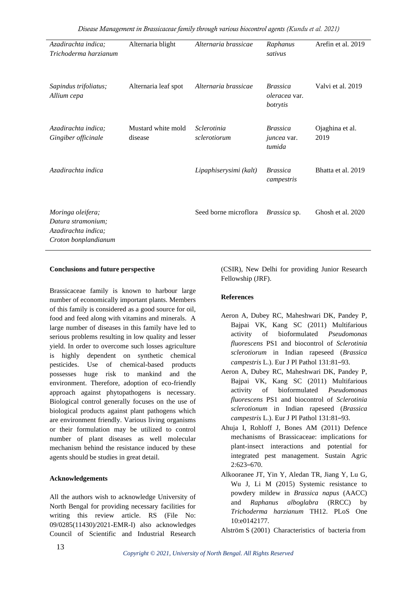| Azadirachta indica;<br>Trichoderma harzianum                                           | Alternaria blight             | Alternaria brassicae        | Raphanus<br>sativus                             | Arefin et al. 2019      |
|----------------------------------------------------------------------------------------|-------------------------------|-----------------------------|-------------------------------------------------|-------------------------|
| Sapindus trifoliatus;<br>Allium cepa                                                   | Alternaria leaf spot          | Alternaria brassicae        | <i>Brassica</i><br>oleracea var.<br>botrytis    | Valvi et al. 2019       |
| Azadirachta indica;<br>Gingiber officinale                                             | Mustard white mold<br>disease | Sclerotinia<br>sclerotiorum | <i>Brassica</i><br><i>juncea</i> var.<br>tumida | Ojaghina et al.<br>2019 |
| Azadirachta indica                                                                     |                               | Lipaphiserysimi (kalt)      | <i>Brassica</i><br>campestris                   | Bhatta et al. 2019      |
| Moringa oleifera;<br>Datura stramonium;<br>Azadirachta indica;<br>Croton bonplandianum |                               | Seed borne microflora       | Brassica sp.                                    | Ghosh et al. 2020       |

# **Conclusions and future perspective**

Brassicaceae family is known to harbour large number of economically important plants. Members of this family is considered as a good source for oil, food and feed along with vitamins and minerals. A large number of diseases in this family have led to serious problems resulting in low quality and lesser yield. In order to overcome such losses agriculture is highly dependent on synthetic chemical pesticides. Use of chemical-based products possesses huge risk to mankind and the environment. Therefore, adoption of eco-friendly approach against phytopathogens is necessary. Biological control generally focuses on the use of biological products against plant pathogens which are environment friendly. Various living organisms or their formulation may be utilized to control number of plant diseases as well molecular mechanism behind the resistance induced by these agents should be studies in great detail.

#### **Acknowledgements**

All the authors wish to acknowledge University of North Bengal for providing necessary facilities for writing this review article. RS (File No: 09/0285(11430)/2021-EMR-I) also acknowledges Council of Scientific and Industrial Research

(CSIR), New Delhi for providing Junior Research Fellowship (JRF).

# **References**

- Aeron A, Dubey RC, Maheshwari DK, Pandey P, Bajpai VK, Kang SC (2011) Multifarious activity of bioformulated *Pseudomonas fluorescens* PS1 and biocontrol of *Sclerotinia sclerotiorum* in Indian rapeseed (*Brassica campestris* L.). Eur J Pl Pathol 131:81–93.
- Aeron A, Dubey RC, Maheshwari DK, Pandey P, Bajpai VK, Kang SC (2011) Multifarious activity of bioformulated *Pseudomonas fluorescens* PS1 and biocontrol of *Sclerotinia sclerotionum* in Indian rapeseed (*Brassica campestris* L.). Eur J Pl Pathol 131:81–93.
- Ahuja I, Rohloff J, Bones AM (2011) Defence mechanisms of Brassicaceae: implications for plant-insect interactions and potential for integrated pest management. Sustain Agric 2:623–670.
- Alkooranee JT, Yin Y, Aledan TR, Jiang Y, Lu G, Wu J, Li M (2015) Systemic resistance to powdery mildew in *Brassica napus* (AACC) and *Raphanus alboglabra* (RRCC) by *Trichoderma harzianum* TH12. PLoS One 10:e0142177.
- Alström S (2001) Characteristics of bacteria from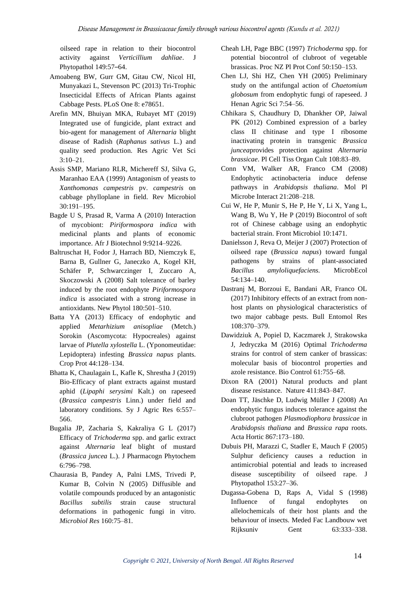oilseed rape in relation to their biocontrol activity against *Verticillium dahliae*. J Phytopathol 149:57–64.

- Amoabeng BW, Gurr GM, Gitau CW, Nicol HI, Munyakazi L, Stevenson PC (2013) Tri-Trophic Insecticidal Effects of African Plants against Cabbage Pests. PLoS One 8: e78651.
- Arefin MN, Bhuiyan MKA, Rubayet MT (2019) Integrated use of fungicide, plant extract and bio-agent for management of *Alternaria* blight disease of Radish (*Raphanus sativus* L.) and quality seed production. Res Agric Vet Sci 3:10–21.
- Assis SMP, Mariano RLR, Michereff SJ, Silva G, Maranhao EAA (1999) Antagonism of yeasts to *Xanthomonas campestris* pv. *campestris* on cabbage phylloplane in field. Rev Microbiol 30:191–195.
- Bagde U S, Prasad R, Varma A (2010) Interaction of mycobiont: *Piriformospora indica* with medicinal plants and plants of economic importance. Afr J Biotechnol 9:9214–9226.
- Baltruschat H, Fodor J, Harrach BD, Niemczyk E, Barna B, Gullner G, Janeczko A, Kogel KH, Schäfer P, Schwarczinger I, Zuccaro A, Skoczowski A (2008) Salt tolerance of barley induced by the root endophyte *Piriformospora indica* is associated with a strong increase in antioxidants. New Phytol 180:501–510.
- Batta YA (2013) Efficacy of endophytic and applied *Metarhizium anisopliae* (Metch.) Sorokin (Ascomycota: Hypocreales) against larvae of *Plutella xylostella* L. (Yponomeutidae: Lepidoptera) infesting *Brassica napus* plants. Crop Prot 44:128–134.
- Bhatta K, Chaulagain L, Kafle K, Shrestha J (2019) Bio-Efficacy of plant extracts against mustard aphid (*Lipaphi serysimi* Kalt.) on rapeseed (*Brassica campestris* Linn.) under field and laboratory conditions. Sy J Agric Res 6:557– 566.
- Bugalia JP, Zacharia S, Kakraliya G L (2017) Efficacy of *Trichoderma* spp. and garlic extract against *Alternaria* leaf blight of mustard (*Brassica juncea* L.). J Pharmacogn Phytochem 6:796–798.
- Chaurasia B, Pandey A, Palni LMS, Trivedi P, Kumar B, Colvin N (2005) Diffusible and volatile compounds produced by an antagonistic *Bacillus subtilis* strain cause structural deformations in pathogenic fungi in vitro. *Microbiol Res* 160:75–81.
- Cheah LH, Page BBC (1997) *Trichoderma* spp. for potential biocontrol of clubroot of vegetable brassicas. Proc NZ Pl Prot Conf 50:150–153.
- Chen LJ, Shi HZ, Chen YH (2005) Preliminary study on the antifungal action of *Chaetomium globosum* from endophytic fungi of rapeseed. J Henan Agric Sci 7:54–56.
- Chhikara S, Chaudhury D, Dhankher OP, Jaiwal PK (2012) Combined expression of a barley class II chitinase and type I ribosome inactivating protein in transgenic *Brassica juncea*provides protection against *Alternaria brassicae*. Pl Cell Tiss Organ Cult 108:83–89.
- Conn VM, Walker AR, Franco CM (2008) Endophytic actinobacteria induce defense pathways in *Arabidopsis thaliana*. Mol Pl Microbe Interact 21:208–218.
- Cui W, He P, Munir S, He P, He Y, Li X, Yang L, Wang B, Wu Y, He P (2019) Biocontrol of soft rot of Chinese cabbage using an endophytic bacterial strain. Front Microbiol 10:1471.
- Danielsson J, Reva O, Meijer J (2007) Protection of oilseed rape (*Brassica napus*) toward fungal pathogens by strains of plant-associated *Bacillus amyloliquefaciens.* MicrobEcol 54:134–140.
- Dastranj M, Borzoui E, Bandani AR, Franco OL (2017) Inhibitory effects of an extract from nonhost plants on physiological characteristics of two major cabbage pests. Bull Entomol Res 108:370–379.
- Dawidziuk A, Popiel D, Kaczmarek J, Strakowska J, Jedryczka M (2016) Optimal *Trichoderma* strains for control of stem canker of brassicas: molecular basis of biocontrol properties and azole resistance. Bio Control 61:755–68.
- Dixon RA (2001) Natural products and plant disease resistance. Nature 411:843–847.
- Doan TT, Jäschke D, Ludwig Müller J (2008) An endophytic fungus induces tolerance against the clubroot pathogen *Plasmodiophora brassicae* in *Arabidopsis thaliana* and *Brassica rapa* roots. Acta Hortic 867:173–180.
- Dubuis PH, Marazzi C, Stadler E, Mauch F (2005) Sulphur deficiency causes a reduction in antimicrobial potential and leads to increased disease susceptibility of oilseed rape. J Phytopathol 153:27–36.
- Dugassa-Gobena D, Raps A, Vidal S (1998) Influence of fungal endophytes on allelochemicals of their host plants and the behaviour of insects. Meded Fac Landbouw wet Rijksuniv Gent 63:333–338.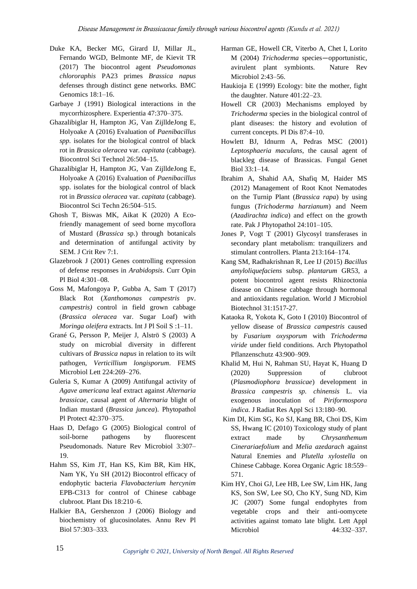- Duke KA, Becker MG, Girard IJ, Millar JL, Fernando WGD, Belmonte MF, de Kievit TR (2017) The biocontrol agent *Pseudomonas chlororaphis* PA23 primes *Brassica napus*  defenses through distinct gene networks. BMC Genomics 18:1–16.
- Garbaye J (1991) Biological interactions in the mycorrhizosphere. Experientia 47:370–375.
- Ghazalibiglar H, Hampton JG, Van ZijlldeJong E, Holyoake A (2016) Evaluation of *Paenibacillus spp.* isolates for the biological control of black rot in *Brassica oleracea* var. *capitata* (cabbage). Biocontrol Sci Technol 26:504–15.
- Ghazalibiglar H, Hampton JG, Van ZijlldeJong E, Holyoake A (2016) Evaluation of *Paenibacillus* spp. isolates for the biological control of black rot in *Brassica oleracea* var. *capitata* (cabbage). Biocontrol Sci Techn 26:504–515.
- Ghosh T, Biswas MK, Aikat K (2020) A Ecofriendly management of seed borne mycoflora of Mustard (*Brassica* sp.) through botanicals and determination of antifungal activity by SEM. J Crit Rev 7:1.
- Glazebrook J (2001) Genes controlling expression of defense responses in *Arabidopsis*. Curr Opin Pl Biol 4:301–08.
- Goss M, Mafongoya P, Gubba A, Sam T (2017) Black Rot (*Xanthomonas campestris* pv. *campestris)* control in field grown cabbage (*Brassica oleracea* var. Sugar Loaf) with *Moringa oleifera* extracts. Int J Pl Soil S :1–11.
- Grané G, Persson P, Meijer J, Alströ S (2003) A study on microbial diversity in different cultivars of *Brassica napus* in relation to its wilt pathogen, *Verticillium longisporum*. FEMS Microbiol Lett 224:269–276.
- Guleria S, Kumar A (2009) Antifungal activity of *Agave americana* leaf extract against *Alternaria brassicae*, causal agent of *Alternaria* blight of Indian mustard (*Brassica juncea*). Phytopathol Pl Protect 42:370–375.
- Haas D, Defago G (2005) Biological control of soil-borne pathogens by fluorescent Pseudomonads. Nature Rev Microbiol 3:307– 19.
- Hahm SS, Kim JT, Han KS, Kim BR, Kim HK, Nam YK, Yu SH (2012) Biocontrol efficacy of endophytic bacteria *Flavobacterium hercynim* EPB-C313 for control of Chinese cabbage clubroot. Plant Dis 18:210–6.
- Halkier BA, Gershenzon J (2006) Biology and biochemistry of glucosinolates. Annu Rev Pl Biol 57:303–333.
- Harman GE, Howell CR, Viterbo A, Chet I, Lorito M (2004) *Trichoderma* species—opportunistic, avirulent plant symbionts. Nature Rev Microbiol 2:43–56.
- Haukioja E (1999) Ecology: bite the mother, fight the daughter. Nature 401:22–23.
- Howell CR (2003) Mechanisms employed by *Trichoderma* species in the biological control of plant diseases: the history and evolution of current concepts. Pl Dis 87:4–10.
- Howlett BJ, Idnurm A, Pedras MSC (2001) *Leptosphaeria maculans*, the causal agent of blackleg disease of Brassicas. Fungal Genet Biol 33:1–14.
- Ibrahim A, Shahid AA, Shafiq M, Haider MS (2012) Management of Root Knot Nematodes on the Turnip Plant (*Brassica rapa*) by using fungus (*Trichoderma harzianum*) and Neem (*Azadirachta indica*) and effect on the growth rate. Pak J Phytopathol 24:101–105.
- Jones P, Vogt T (2001) Glycosyl transferases in secondary plant metabolism: tranquilizers and stimulant controllers. Planta 213:164–174.
- Kang SM, Radhakrishnan R, Lee IJ (2015) *Bacillus amyloliquefaciens* subsp. *plantarum* GR53, a potent biocontrol agent resists Rhizoctonia disease on Chinese cabbage through hormonal and antioxidants regulation. World J Microbiol Biotechnol 31:1517-27.
- Kataoka R, Yokota K, Goto I (2010) Biocontrol of yellow disease of *Brassica campestris* caused by *Fusarium oxysporum* with *Trichoderma viride* under field conditions. Arch Phytopathol Pflanzenschutz 43:900–909.
- Khalid M, Hui N, Rahman SU, Hayat K, Huang D (2020) Suppression of clubroot (*Plasmodiophora brassicae*) development in *Brassica campestris sp. chinensis* L. via exogenous inoculation of *Piriformospora indica.* J Radiat Res Appl Sci 13:180–90.
- Kim DI, Kim SG, Ko SJ, Kang BR, Choi DS, Kim SS, Hwang IC (2010) Toxicology study of plant extract made by *Chrysanthemum Cinerariaefolium* and *Melia azedarach* against Natural Enemies and *Plutella xylostella* on Chinese Cabbage. Korea Organic Agric 18:559– 571.
- Kim HY, Choi GJ, Lee HB, Lee SW, Lim HK, Jang KS, Son SW, Lee SO, Cho KY, Sung ND, Kim JC (2007) Some fungal endophytes from vegetable crops and their anti-oomycete activities against tomato late blight. Lett Appl Microbiol 44:332–337.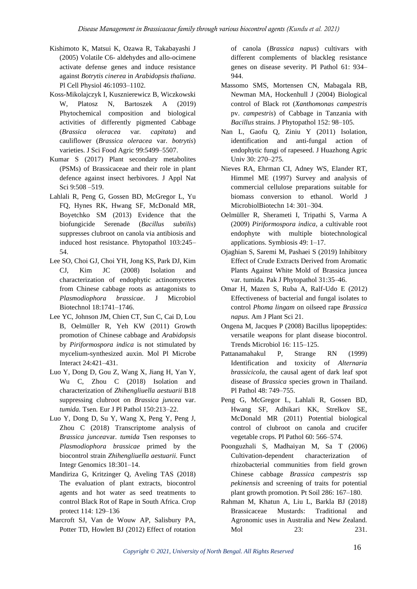- Kishimoto K, Matsui K, Ozawa R, Takabayashi J (2005) Volatile C6- aldehydes and allo-ocimene activate defense genes and induce resistance against *Botrytis cinerea* in *Arabidopsis thaliana*. Pl Cell Physiol 46:1093–1102.
- Koss-Mikolajczyk I, Kusznierewicz B, Wiczkowski W, Platosz N, Bartoszek A (2019) Phytochemical composition and biological activities of differently pigmented Cabbage (*Brassica oleracea* var*. capitata*) and cauliflower (*Brassica oleracea* var. *botrytis*) varieties. J Sci Food Agric 99:5499–5507.
- Kumar S (2017) Plant secondary metabolites (PSMs) of Brassicaceae and their role in plant defence against insect herbivores. J Appl Nat Sci 9:508 –519.
- Lahlali R, Peng G, Gossen BD, McGregor L, Yu FQ, Hynes RK, Hwang SF, McDonald MR, Boyetchko SM (2013) Evidence that the biofungicide Serenade (*Bacillus subtilis*) suppresses clubroot on canola via antibiosis and induced host resistance. Phytopathol 103:245– 54.
- Lee SO, Choi GJ, Choi YH, Jong KS, Park DJ, Kim CJ, Kim JC (2008) Isolation and characterization of endophytic actinomycetes from Chinese cabbage roots as antagonists to *Plasmodiophora brassicae*. J Microbiol Biotechnol 18:1741–1746.
- Lee YC, Johnson JM, Chien CT, Sun C, Cai D, Lou B, Oelmüller R, Yeh KW (2011) Growth promotion of Chinese cabbage and *Arabidopsis* by *Piriformospora indica* is not stimulated by mycelium-synthesized auxin. Mol Pl Microbe Interact 24:421–431.
- Luo Y, Dong D, Gou Z, Wang X, Jiang H, Yan Y, Wu C, Zhou C (2018) Isolation and characterization of *Zhihengliuella aestuarii* B18 suppressing clubroot on *Brassica juncea* var. *tumida.* Tsen*.* Eur J Pl Pathol 150:213–22.
- Luo Y, Dong D, Su Y, Wang X, Peng Y, Peng J, Zhou C (2018) Transcriptome analysis of *Brassica juncea*var. *tumida* Tsen responses to *Plasmodiophora brassicae* primed by the biocontrol strain *Zhihengliuella aestuarii.* Funct Integr Genomics 18:301–14.
- Mandiriza G, Kritzinger Q, Aveling TAS (2018) The evaluation of plant extracts, biocontrol agents and hot water as seed treatments to control Black Rot of Rape in South Africa. Crop protect 114: 129–136
- Marcroft SJ, Van de Wouw AP, Salisbury PA, Potter TD, Howlett BJ (2012) Effect of rotation

of canola (*Brassica napus*) cultivars with different complements of blackleg resistance genes on disease severity. Pl Pathol 61: 934– 944.

- Massomo SMS, Mortensen CN, Mabagala RB, Newman MA, Hockenhull J (2004) Biological control of Black rot (*Xanthomonas campestris*  pv. *campestris*) of Cabbage in Tanzania with *Bacillus* strains. J Phytopathol 152: 98–105.
- Nan L, Gaofu Q, Ziniu Y (2011) Isolation, identification and anti-fungal action of endophytic fungi of rapeseed. J Huazhong Agric Univ 30: 270–275.
- Nieves RA, Ehrman CI, Adney WS, Elander RT, Himmel ME (1997) Survey and analysis of commercial cellulose preparations suitable for biomass conversion to ethanol. World J MicrobiolBiotechn 14: 301–304.
- Oelmüller R, Sherameti I, Tripathi S, Varma A (2009) *Piriformospora indica*, a cultivable root endophyte with multiple biotechnological applications. Symbiosis 49: 1–17.
- Ojaghian S, Saremi M, Pashaei S (2019) Inhibitory Effect of Crude Extracts Derived from Aromatic Plants Against White Mold of Brassica juncea var. tumida. Pak J Phytopathol 31:35–46.
- Omar H, Mazen S, Ruba A, Ralf-Udo E (2012) Effectiveness of bacterial and fungal isolates to control *Phoma lingam* on oilseed rape *Brassica napus*. Am J Plant Sci 21.
- Ongena M, Jacques P (2008) Bacillus lipopeptides: versatile weapons for plant disease biocontrol. Trends Microbiol 16: 115–125.
- Pattanamahakul P, Strange RN (1999) Identification and toxicity of *Alternaria brassicicola*, the causal agent of dark leaf spot disease of *Brassica* species grown in Thailand. Pl Pathol 48: 749–755.
- Peng G, McGregor L, Lahlali R, Gossen BD, Hwang SF, Adhikari KK, Strelkov SE, McDonald MR (2011) Potential biological control of clubroot on canola and crucifer vegetable crops. Pl Pathol 60: 566–574.
- Poonguzhali S, Madhaiyan M, Sa T (2006) Cultivation-dependent characterization of rhizobacterial communities from field grown Chinese cabbage *Brassica campestris* ssp *pekinensis* and screening of traits for potential plant growth promotion. Pt Soil 286: 167–180.
- Rahman M, Khatun A, Liu L, Barkla BJ (2018) Brassicaceae Mustards: Traditional and Agronomic uses in Australia and New Zealand. Mol 23: 231.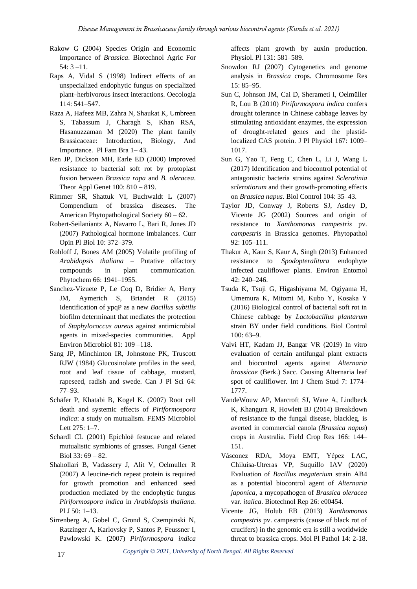- Rakow G (2004) Species Origin and Economic Importance of *Brassica*. Biotechnol Agric For 54: 3 –11.
- Raps A, Vidal S (1998) Indirect effects of an unspecialized endophytic fungus on specialized plant–herbivorous insect interactions. Oecologia 114: 541–547.
- Raza A, Hafeez MB, Zahra N, Shaukat K, Umbreen S, Tabassum J, Charagh S, Khan RSA, Hasanuzzaman M (2020) The plant family Brassicaceae: Introduction, Biology, And Importance. Pl Fam Bra 1– 43.
- Ren JP, Dickson MH, Earle ED (2000) Improved resistance to bacterial soft rot by protoplast fusion between *Brassica rapa* and *B. oleracea*. Theor Appl Genet 100: 810 – 819.
- Rimmer SR, Shattuk VI, Buchwaldt L (2007) Compendium of brassica diseases. The American Phytopathological Society 60 – 62.
- Robert-Seilaniantz A, Navarro L, Bari R, Jones JD (2007) Pathological hormone imbalances. Curr Opin Pl Biol 10: 372–379.
- Rohloff J, Bones AM (2005) Volatile profiling of *Arabidopsis thaliana* – Putative olfactory compounds in plant communication. Phytochem 66: 1941–1955.
- Sanchez-Vizuete P, Le Coq D, Bridier A, Herry JM, Aymerich S, Briandet R (2015) Identification of ypqP as a new *Bacillus subtilis* biofilm determinant that mediates the protection of *Staphylococcus aureus* against antimicrobial agents in mixed-species communities. Appl Environ Microbiol 81: 109 –118.
- Sang JP, Minchinton IR, Johnstone PK, Truscott RJW (1984) Glucosinolate profiles in the seed, root and leaf tissue of cabbage, mustard, rapeseed, radish and swede. Can J Pl Sci 64: 77–93.
- Schäfer P, Khatabi B, Kogel K. (2007) Root cell death and systemic effects of *Piriformospora indica*: a study on mutualism. FEMS Microbiol Lett 275: 1–7.
- Schardl CL (2001) Epichloë festucae and related mutualistic symbionts of grasses. Fungal Genet Biol 33: 69 – 82.
- Shahollari B, Vadassery J, Alit V, Oelmuller R (2007) A leucine-rich repeat protein is required for growth promotion and enhanced seed production mediated by the endophytic fungus *Piriformospora indica* in *Arabidopsis thaliana*. Pl J 50: 1–13.
- Sirrenberg A, Gobel C, Grond S, Czempinski N, Ratzinger A, Karlovsky P, Santos P, Feussner I, Pawlowski K. (2007) *Piriformospora indica*

affects plant growth by auxin production. Physiol. Pl 131: 581–589.

- Snowdon RJ (2007) Cytogenetics and genome analysis in *Brassica* crops. Chromosome Res 15: 85–95.
- Sun C, Johnson JM, Cai D, Sherameti I, Oelmüller R, Lou B (2010) *Piriformospora indica* confers drought tolerance in Chinese cabbage leaves by stimulating antioxidant enzymes, the expression of drought-related genes and the plastidlocalized CAS protein. J Pl Physiol 167: 1009– 1017.
- Sun G, Yao T, Feng C, Chen L, Li J, Wang L (2017) Identification and biocontrol potential of antagonistic bacteria strains against *Sclerotinia sclerotiorum* and their growth-promoting effects on *Brassica napus*. Biol Control 104: 35–43.
- Taylor JD, Conway J, Roberts SJ, Astley D, Vicente JG (2002) Sources and origin of resistance to *Xanthomonas campestris* pv. *campestris* in Brassica genomes. Phytopathol 92: 105–111.
- Thakur A, Kaur S, Kaur A, Singh (2013) Enhanced resistance to *Spodopteralitura* endophyte infected cauliflower plants. Environ Entomol 42: 240–246.
- Tsuda K, Tsuji G, Higashiyama M, Ogiyama H, Umemura K, Mitomi M, Kubo Y, Kosaka Y (2016) Biological control of bacterial soft rot in Chinese cabbage by *Lactobacillus plantarum* strain BY under field conditions. Biol Control 100: 63–9.
- Valvi HT, Kadam JJ, Bangar VR (2019) In vitro evaluation of certain antifungal plant extracts and biocontrol agents against *Alternaria brassicae* (Berk.) Sacc. Causing Alternaria leaf spot of cauliflower*.* Int J Chem Stud 7: 1774– 1777.
- VandeWouw AP, Marcroft SJ, Ware A, Lindbeck K, Khangura R, Howlett BJ (2014) Breakdown of resistance to the fungal disease, blackleg, is averted in commercial canola (*Brassica napus*) crops in Australia. Field Crop Res 166: 144– 151.
- Vásconez RDA, Moya EMT, Yépez LAC, Chiluisa-Utreras VP, Suquillo IAV (2020) Evaluation of *Bacillus megaterium* strain AB4 as a potential biocontrol agent of *Alternaria japonica*, a mycopathogen of *Brassica oleracea*  var. *italica*. Biotechnol Rep 26: e00454.
- Vicente JG, Holub EB (2013) *Xanthomonas campestris* pv. campestris (cause of black rot of crucifers) in the genomic era is still a worldwide threat to brassica crops. Mol Pl Pathol 14: 2-18.